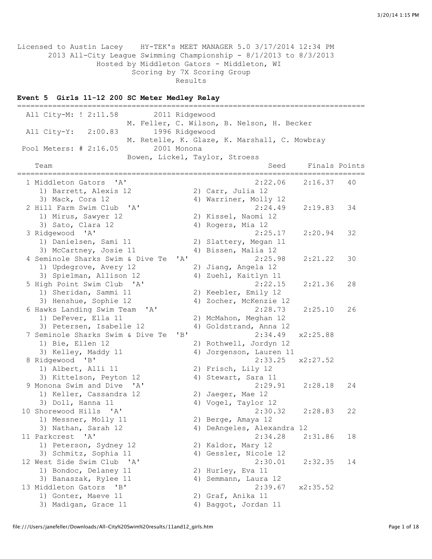Licensed to Austin Lacey HY-TEK's MEET MANAGER 5.0 3/17/2014 12:34 PM 2013 All-City League Swimming Championship - 8/1/2013 to 8/3/2013 Hosted by Middleton Gators - Middleton, WI Scoring by 7X Scoring Group Results

#### **Event 5 Girls 11-12 200 SC Meter Medley Relay**

=============================================================================== All City-M: ! 2:11.58 2011 Ridgewood M. Feller, C. Wilson, B. Nelson, H. Becker All City-Y: 2:00.83 1996 Ridgewood M. Retelle, K. Glaze, K. Marshall, C. Mowbray Pool Meters: # 2:16.05 2001 Monona Bowen, Lickel, Taylor, Stroess Team Seed Finals Points =============================================================================== 1 Middleton Gators 'A' 2:22.06 2:16.37 40<br>
1) Barrett, Alexis 12 2) Carr, Julia 12<br>
3) Mack, Cora 12 4) Warriner, Molly 12 1) Barrett, Alexis 12 (2) Carr, Julia 12 3) Mack, Cora 12 4) Warriner, Molly 12 2 Hill Farm Swim Club 'A' 2:24.49 2:19.83 34 1) Mirus, Sawyer 12 2) Kissel, Naomi 12 3) Sato, Clara 12 (4) Rogers, Mia 12 3 Ridgewood 'A' 2:25.17 2:20.94 32 1) Danielsen, Sami 11 2) Slattery, Megan 11 3) McCartney, Josie 11 (4) Bissen, Malia 12 4 Seminole Sharks Swim & Dive Te 'A' 2:25.98 2:21.22 30 1) Updegrove, Avery 12 2) Jiang, Angela 12 3) Spielman, Allison 12 4) Zuehl, Kaitlyn 11 5 High Point Swim Club 'A' 2:22.15 2:21.36 28 1) Sheridan, Sammi 11 2) Keebler, Emily 12 3) Henshue, Sophie 12 4) Zocher, McKenzie 12 6 Hawks Landing Swim Team 'A' 2:28.73 2:25.10 26 1) DeFever, Ella 11 2) McMahon, Meghan 12 3) Petersen, Isabelle 12 4) Goldstrand, Anna 12 7 Seminole Sharks Swim & Dive Te 'B' 2:34.49 x2:25.88 1) Bie, Ellen 12 2) Rothwell, Jordyn 12 3) Kelley, Maddy 11 4) Jorgenson, Lauren 11 8 Ridgewood 'B' 2:33.25 x2:27.52 1) Albert, Alli 11 2) Frisch, Lily 12 3) Kittelson, Peyton 12 4) Stewart, Sara 11 9 Monona Swim and Dive 'A' 2:29.91 2:28.18 24 1) Keller, Cassandra 12 (2) Jaeger, Mae 12 3) Doll, Hanna 11 4) Vogel, Taylor 12 10 Shorewood Hills 'A' 2:30.32 2:28.83 22<br>1) Messner, Molly 11 2) Berge, Amaya 12<br>3) Nathan, Sarah 12 4) DeAngeles, Alexandra 12 1) Messner, Molly 11 2) Berge, Amaya 12 3) Nathan, Sarah 12 4) DeAngeles, Alexandra 12 11 Parkcrest 'A' 2:34.28 2:31.86 18 1) Peterson, Sydney 12 2) Kaldor, Mary 12 3) Schmitz, Sophia 11 4) Gessler, Nicole 12 12 West Side Swim Club 'A' 2:30.01 2:32.35 14 1) Bondoc, Delaney 11 2) Hurley, Eva 11 2) Hurley, Eva 11<br>4) Semmann, Laura 12 13 Middleton Gators 'B' 2:39.67 x2:35.52 1) Gonter, Maeve 11 2) Graf, Anika 11 3) Madigan, Grace 11 4) Baggot, Jordan 11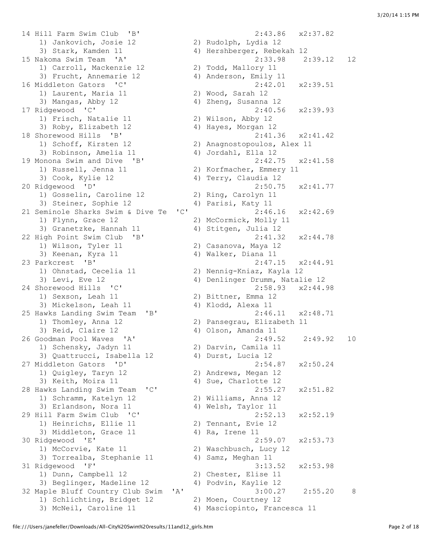14 Hill Farm Swim Club 'B' 2:43.86 x2:37.82 1) Jankovich, Josie 12 2) Rudolph, Lydia 12 3) Stark, Kamden 11 4) Hershberger, Rebekah 12 1) Carroll, Mackenzie 12 2) Todd, Mallory 11 3) Frucht, Annemarie 12 4) Anderson, Emily 11 16 Middleton Gators 'C' 2:42.01 x2:39.51 1) Laurent, Maria 11 2) Wood, Sarah 12 3) Mangas, Abby 12 4) Zheng, Susanna 12 17 Ridgewood 'C' 2:40.56 x2:39.93 1) Frisch, Natalie 11 2) Wilson, Abby 12 3) Roby, Elizabeth 12 4) Hayes, Morgan 12 18 Shorewood Hills 'B' 2:41.36 x2:41.42 1) Schoff, Kirsten 12 2) Anagnostopoulos, Alex 11 3) Robinson, Amelia 11 4) Jordahl, Ella 12 19 Monona Swim and Dive 'B' 2:42.75 x2:41.58 1) Russell, Jenna 11 2) Korfmacher, Emmery 11 3) Cook, Kylie 12 4) Terry, Claudia 12 20 Ridgewood 'D' 2:50.75 x2:41.77 1) Gosselin, Caroline 12 2) Ring, Carolyn 11 3) Steiner, Sophie 12 and 4) Parisi, Katy 11 21 Seminole Sharks Swim & Dive Te 'C' 2:46.16 x2:42.69 1) Flynn, Grace 12 2) McCormick, Molly 11 3) Granetzke, Hannah 11 4) Stitgen, Julia 12 22 High Point Swim Club 'B' 2:41.32 x2:44.78 1) Wilson, Tyler 11 2) Casanova, Maya 12 19 External Swim Cruz (19 External State of Text 1)<br>3) Keenan, Kyra 11 (19 A) Walker, Diana 11 (19 A) 2, 147 15 23 Parkcrest 'B' 2:47.15 x2:44.91 1) Ohnstad, Cecelia 11 2) Nennig-Kniaz, Kayla 12 3) Levi, Eve 12 4) Denlinger Drumm, Natalie 12 24 Shorewood Hills 'C' 2:58.93 x2:44.98 1) Sexson, Leah 11 3) Mickelson, Leah 11 4) Klodd, Alexa 11 25 Hawks Landing Swim Team 'B' 2:46.11 x2:48.71 1) Thomley, Anna 12 2) Pansegrau, Elizabeth 11 3) Reid, Claire 12 (4) Olson, Amanda 11 1) Schensky, Jadyn 11 2) Darvin, Camila 11 3) Quattrucci, Isabella 12 4) Durst, Lucia 12 27 Middleton Gators 'D' 2:54.87 x2:50.24<br>1) Quigley, Taryn 12 2) Andrews, Megan 12 1) Quigley, Taryn 12 2) Andrews, Megan 12 3) Keith, Moira 11 4) Sue, Charlotte 12 28 Hawks Landing Swim Team 'C' 2:55.27 x2:51.82<br>
1) Schramm, Katelyn 12 2) Williams, Anna 12<br>
3) Erlandson, Nora 11 4) Welsh, Taylor 11 1) Schramm, Katelyn 12<br>3) Erlandson, Nora 11 3) Erlandson, Nora 11  $\qquad \qquad$  4) Welsh, Taylor 11 29 Hill Farm Swim Club 'C' 2:52.13 x2:52.19 1) Heinrichs, Ellie 11 2) Tennant, Evie 12 3) Middleton, Grace 11 4) Ra, Irene 11 30 Ridgewood 'E' 2:59.07 x2:53.73 1) McCorvie, Kate 11 2) Waschbusch, Lucy 12 3) Torrealba, Stephanie 11 4) Samz, Meghan 11 31 Ridgewood 'F' 3:13.52 x2:53.98 1) Dunn, Campbell 12 2) Chester, Elise 11 3) Beglinger, Madeline 12 4) Podvin, Kaylie 12 1) Schlichting, Bridget 12 2) Moen, Courtney 12 3) McNeil, Caroline 11 4) Masciopinto, Francesca 11

```
15 Nakoma Swim Team 'A' 2:33.98 2:39.12 12 
26 Goodman Pool Waves 'A' 2:49.52 2:49.92 10 
32 Maple Bluff Country Club Swim 'A' 3:00.27 2:55.20 8
```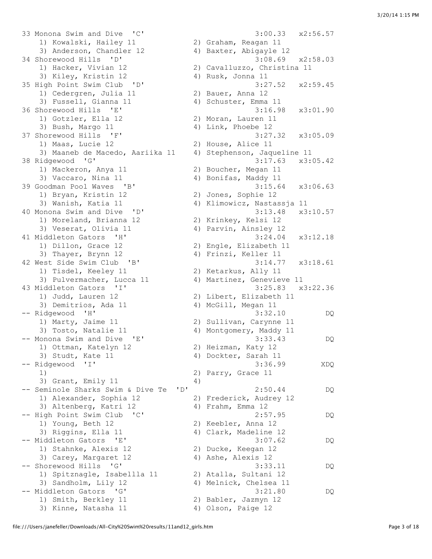33 Monona Swim and Dive 'C' 3:00.33 x2:56.57 1) Kowalski, Hailey 11 2) Graham, Reagan 11 3) Anderson, Chandler 12 4) Baxter, Abigayle 12 34 Shorewood Hills 'D' 3:08.69 x2:58.03 1) Hacker, Vivian 12 2) Cavalluzzo, Christina 11 3) Kiley, Kristin 12 (4) Rusk, Jonna 11 35 High Point Swim Club 'D' 3:27.52 x2:59.45 1) Cedergren, Julia 11 2) Bauer, Anna 12 3) Fussell, Gianna 11 4) Schuster, Emma 11 36 Shorewood Hills 'E' 3:16.98 x3:01.90 1) Gotzler, Ella 12 2) Moran, Lauren 11 3) Bush, Margo 11 4) Link, Phoebe 12 37 Shorewood Hills 'F' 3:27.32 x3:05.09 1) Maas, Lucie 12 2) House, Alice 11 3) Maaneb de Macedo, Aariika 11 4) Stephenson, Jaqueline 11 38 Ridgewood 'G' 3:17.63 x3:05.42 1) Mackeron, Anya 11 2) Boucher, Megan 11 3) Vaccaro, Nina 11 4) Bonifas, Maddy 11 39 Goodman Pool Waves 'B' 3:15.64 x3:06.63 1) Bryan, Kristin 12 2) Jones, Sophie 12 3) Bryan, Kristin 12 (2) Jones, Sophie 12<br>3) Wanish, Katia 11 (4) Klimowicz, Nastassja 11 40 Monona Swim and Dive 'D' 3:13.48 x3:10.57 1) Moreland, Brianna 12 2) Krinkey, Kelsi 12 3) Veserat, Olivia 11 4) Parvin, Ainsley 12 41 Middleton Gators 'H' 3:24.04 x3:12.18 1) Dillon, Grace 12 2) Engle, Elizabeth 11 3) Thayer, Brynn 12 4) Frinzi, Keller 11 42 West Side Swim Club 'B' 3:14.77 x3:18.61 1) Tisdel, Keeley 11 2) Ketarkus, Ally 11 3) Pulvermacher, Lucca 11 4) Martinez, Genevieve 11 43 Middleton Gators 'I' 3:25.83 x3:22.36 1) Judd, Lauren 12 2) Libert, Elizabeth 11 3) Demitrios, Ada 11 4) McGill, Megan 11 -- Ridgewood 'H' 3:32.10 DQ 1) Marty, Jaime 11 2) Sullivan, Carynne 11 3) Tosto, Natalie 11 4) Montgomery, Maddy 11 -- Monona Swim and Dive 'E' 3:33.43 DQ 1) Ottman, Katelyn 12 2) Heizman, Katy 12 3) Studt, Kate 11 4) Dockter, Sarah 11 -- Ridgewood 'I' 3:36.99 XDQ 1) 2) Parry, Grace 11 3) Grant, Emily 11 4) -- Seminole Sharks Swim & Dive Te 'D' 2:50.44 DQ 1) Alexander, Sophia 12 2) Frederick, Audrey 12 3) Altenberg, Katri 12 (4) Frahm, Emma 12 -- High Point Swim Club 'C' 2:57.95 DQ 1) Young, Beth 12 2) Keebler, Anna 12 3) Riggins, Ella 11 4) Clark, Madeline 12 -- Middleton Gators 'E' (1999) 47 Juland Madeline 12<br>1) Stabble 11 Stabble 10 1) Stahnke, Alexis 12 2) Ducke, Keegan 12 3) Carey, Margaret 12 4) Ashe, Alexis 12 -- Shorewood Hills 'G' 3:33.11 DQ 1) Spitznagle, Isabellla 11 2) Atalla, Sultani 12 3) Sandholm, Lily 12 4) Melnick, Chelsea 11 -- Middleton Gators 'G' 3:21.80 DQ 1) Smith, Berkley 11 2) Babler, Jazmyn 12 3) Kinne, Natasha 11 4) Olson, Paige 12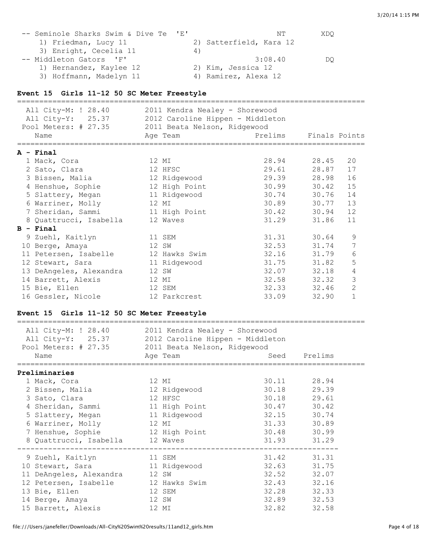| -- Seminole Sharks Swim & Dive Te 'E' | NΤ                      | XDO |
|---------------------------------------|-------------------------|-----|
| 1) Friedman, Lucy 11                  | 2) Satterfield, Kara 12 |     |
| 3) Enright, Cecelia 11                | 4)                      |     |
| -- Middleton Gators 'F'               | 3:08.40                 | DO  |
| 1) Hernandez, Kaylee 12               | 2) Kim, Jessica 12      |     |
| 3) Hoffmann, Madelyn 11               | 4) Ramirez, Alexa 12    |     |

## **Event 15 Girls 11-12 50 SC Meter Freestyle**

| All City-M: ! 28.40<br>All City-Y: 25.37<br>Pool Meters: # 27.35<br>Name | 2011 Kendra Nealey - Shorewood<br>2012 Caroline Hippen - Middleton<br>2011 Beata Nelson, Ridgewood<br>Age Team | Prelims Finals Points |       |              |
|--------------------------------------------------------------------------|----------------------------------------------------------------------------------------------------------------|-----------------------|-------|--------------|
|                                                                          |                                                                                                                |                       |       |              |
| $A - Final$                                                              |                                                                                                                |                       |       |              |
| 1 Mack, Cora                                                             | 12 MI                                                                                                          | 28.94 28.45           |       | 20           |
| 2 Sato, Clara                                                            | 12 HFSC                                                                                                        | 29.61                 | 28.87 | 17           |
| 3 Bissen, Malia                                                          | 12 Ridgewood                                                                                                   | 29.39 28.98           |       | 16           |
| 4 Henshue, Sophie                                                        | 12 High Point                                                                                                  | 30.99                 | 30.42 | 15           |
| 5 Slattery, Megan                                                        | 11 Ridgewood                                                                                                   | 30.74 30.76           |       | 14           |
| 6 Warriner, Molly                                                        | 12 MI                                                                                                          | 30.89 30.77           |       | 13           |
| 7 Sheridan, Sammi                                                        | 11 High Point                                                                                                  | 30.42                 | 30.94 | 12           |
| 8 Quattrucci, Isabella                                                   | 12 Waves                                                                                                       | 31.29                 | 31.86 | 11           |
| $B - Final$                                                              |                                                                                                                |                       |       |              |
| 9 Zuehl, Kaitlyn                                                         | 11 SEM                                                                                                         | 31.31 30.64           |       | 9            |
| 10 Berge, Amaya                                                          | 12 SW                                                                                                          | 32.53 31.74           |       | 7            |
| 11 Petersen, Isabelle                                                    | 12 Hawks Swim                                                                                                  | 32.16                 | 31.79 | 6            |
| 12 Stewart, Sara                                                         | 11 Ridgewood                                                                                                   | 31.75                 | 31.82 | 5            |
| 13 DeAngeles, Alexandra                                                  | 12 SW                                                                                                          | 32.07 32.18           |       | 4            |
| 14 Barrett, Alexis                                                       | 12 MI                                                                                                          | 32.58 32.32           |       | 3            |
| 15 Bie, Ellen                                                            | 12 SEM                                                                                                         | 32.33                 | 32.46 | $\mathbf{2}$ |
| 16 Gessler, Nicole                                                       | 12 Parkcrest                                                                                                   | 33.09                 | 32.90 | $\mathbf{1}$ |

### **Event 15 Girls 11-12 50 SC Meter Freestyle**

| All City-M: ! 28.40<br>All City-Y: 25.37 2012 Caroline Hippen - Middleton<br>Pool Meters: # 27.35 2011 Beata Nelson, Ridgewood<br>Name | 2011 Kendra Nealey - Shorewood<br>Age Team |             | Seed Prelims |
|----------------------------------------------------------------------------------------------------------------------------------------|--------------------------------------------|-------------|--------------|
| Preliminaries                                                                                                                          |                                            |             |              |
|                                                                                                                                        |                                            |             |              |
| 1 Mack, Cora                                                                                                                           | 12 MI                                      |             | 30.11 28.94  |
| 2 Bissen, Malia                                                                                                                        | 12 Ridgewood                               | 30.18 29.39 |              |
| 3 Sato, Clara                                                                                                                          | 12 HFSC                                    |             | 30.18 29.61  |
| 4 Sheridan, Sammi 11 High Point                                                                                                        |                                            | 30.47 30.42 |              |
| 5 Slattery, Megan                                                                                                                      | 11 Ridgewood                               | 32.15 30.74 |              |
| 6 Warriner, Molly 12 MI                                                                                                                |                                            | 31.33       | 30.89        |
| 7 Henshue, Sophie 12 High Point                                                                                                        |                                            | 30.48 30.99 |              |
| 8 Quattrucci, Isabella 12 Waves                                                                                                        |                                            |             | 31.93 31.29  |
| 9 Zuehl, Kaitlyn 11 SEM                                                                                                                |                                            |             | 31.42 31.31  |
| 10 Stewart, Sara and 11 Ridgewood                                                                                                      |                                            |             | 32.63 31.75  |
| 11 DeAngeles, Alexandra 12 SW                                                                                                          |                                            | 32.52       | 32.07        |
| 12 Petersen, Isabelle 12 Hawks Swim                                                                                                    |                                            |             | 32.43 32.16  |
| 12 SEM<br>13 Bie, Ellen                                                                                                                |                                            |             | 32.28 32.33  |
|                                                                                                                                        | 12 SW                                      |             |              |
| 15 Barrett, Alexis                                                                                                                     | 12 MI                                      | 32.82       | 32.58        |
| 14 Berge, Amaya                                                                                                                        |                                            |             | 32.89 32.53  |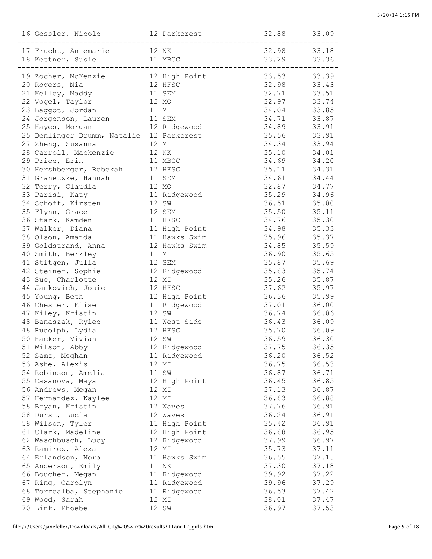| 17 Frucht, Annemarie 12 NK 32.98 33.18<br>18 Kettner, Susie 11 MBCC 33.29 33.36                                                                                       |       |                               |       |       |
|-----------------------------------------------------------------------------------------------------------------------------------------------------------------------|-------|-------------------------------|-------|-------|
|                                                                                                                                                                       |       |                               |       |       |
| 19 Zocher, McKenzie               12 High Point                     33.53       33.39<br>20 Rogers, Mia                 12 HFSC                     32.98       33.43 |       |                               |       |       |
| 21 Kelley, Maddy                                                                                                                                                      |       | 11 SEM                        | 32.71 | 33.51 |
| 22 Vogel, Taylor                                                                                                                                                      | 12 MO |                               | 32.97 | 33.74 |
| 23 Baggot, Jordan                                                                                                                                                     | 11 MI |                               | 34.04 | 33.85 |
| 24 Jorgenson, Lauren                                                                                                                                                  |       | 11 SEM                        | 34.71 | 33.87 |
| 25 Hayes, Morgan                                                                                                                                                      |       | 12 Ridgewood                  | 34.89 | 33.91 |
| 25 Denlinger Drumm, Natalie 12 Parkcrest                                                                                                                              |       |                               | 35.56 | 33.91 |
| 12 MI<br>27 Zheng, Susanna                                                                                                                                            |       |                               | 34.34 | 33.94 |
| 28 Carroll, Mackenzie 12 NK                                                                                                                                           |       |                               | 35.10 | 34.01 |
| 29 Price, Erin                                                                                                                                                        |       | 11 MBCC                       | 34.69 | 34.20 |
|                                                                                                                                                                       |       |                               | 35.11 | 34.31 |
| 30 Hershberger, Rebekah 12 HFSC<br>31 Granetzke, Hannah 11 SEM                                                                                                        |       |                               | 34.61 | 34.44 |
| 32 Terry, Claudia                                                                                                                                                     | 12 MO |                               | 32.87 | 34.77 |
| 33 Parisi, Katy                                                                                                                                                       |       | 11 Ridgewood                  | 35.29 | 34.96 |
| 34 Schoff, Kirsten                                                                                                                                                    |       | 12 SW                         | 36.51 | 35.00 |
| 35 Flynn, Grace                                                                                                                                                       |       | 12 SEM                        | 35.50 | 35.11 |
| 36 Stark, Kamden                                                                                                                                                      |       | 11 HFSC                       | 34.76 | 35.30 |
| 37 Walker, Diana                                                                                                                                                      |       | 11 High Point                 | 34.98 | 35.33 |
| 38 Olson, Amanda                                                                                                                                                      |       | 11 Hawks Swim                 | 35.96 | 35.37 |
| 39 Goldstrand, Anna                                                                                                                                                   |       | 12 Hawks Swim                 | 34.85 | 35.59 |
| 40 Smith, Berkley                                                                                                                                                     |       | 11 MI                         | 36.90 | 35.65 |
| 41 Stitgen, Julia                                                                                                                                                     |       | 12 SEM                        | 35.87 | 35.69 |
| 42 Steiner, Sophie                                                                                                                                                    |       | 12 Ridgewood                  | 35.83 | 35.74 |
| 43 Sue, Charlotte                                                                                                                                                     |       | 12 MI                         | 35.26 | 35.87 |
| 44 Jankovich, Josie                                                                                                                                                   |       | 12 HFSC                       | 37.62 | 35.97 |
| 45 Young, Beth                                                                                                                                                        |       | 12 High Point<br>11 Ridgewood | 36.36 | 35.99 |
| 46 Chester, Elise                                                                                                                                                     |       |                               | 37.01 | 36.00 |
| 47 Kiley, Kristin                                                                                                                                                     |       | 12 SW                         | 36.74 | 36.06 |
| 48 Banaszak, Rylee                                                                                                                                                    |       | 11 West Side                  | 36.43 | 36.09 |
| 48 Rudolph, Lydia                                                                                                                                                     |       | 12 HFSC                       | 35.70 | 36.09 |
| 50 Hacker, Vivian                                                                                                                                                     |       | 12 SW                         | 36.59 | 36.30 |
| 51 Wilson, Abby                                                                                                                                                       |       | 12 Ridgewood                  | 37.75 | 36.35 |
| 52 Samz, Meghan                                                                                                                                                       |       | 11 Ridgewood                  | 36.20 | 36.52 |
| 53 Ashe, Alexis                                                                                                                                                       |       | 12 MI                         | 36.75 | 36.53 |
| 54 Robinson, Amelia                                                                                                                                                   |       | 11 SW                         | 36.87 | 36.71 |
| 55 Casanova, Maya                                                                                                                                                     |       | 12 High Point                 | 36.45 | 36.85 |
| 56 Andrews, Megan                                                                                                                                                     |       | 12 MI                         | 37.13 | 36.87 |
| 57 Hernandez, Kaylee                                                                                                                                                  |       | 12 MI                         | 36.83 | 36.88 |
| 58 Bryan, Kristin                                                                                                                                                     |       | 12 Waves                      | 37.76 | 36.91 |
| 58 Durst, Lucia                                                                                                                                                       |       | 12 Waves                      | 36.24 | 36.91 |
| 58 Wilson, Tyler                                                                                                                                                      |       | 11 High Point                 | 35.42 | 36.91 |
| 61 Clark, Madeline                                                                                                                                                    |       | 12 High Point                 | 36.88 | 36.95 |
| 62 Waschbusch, Lucy                                                                                                                                                   |       | 12 Ridgewood                  | 37.99 | 36.97 |
| 63 Ramirez, Alexa                                                                                                                                                     |       | 12 MI                         | 35.73 | 37.11 |
| 64 Erlandson, Nora                                                                                                                                                    |       | 11 Hawks Swim                 | 36.55 | 37.15 |
| 65 Anderson, Emily                                                                                                                                                    |       | 11 NK                         | 37.30 | 37.18 |
| 66 Boucher, Megan                                                                                                                                                     |       | 11 Ridgewood                  | 39.92 | 37.22 |
| 67 Ring, Carolyn                                                                                                                                                      |       | 11 Ridgewood                  | 39.96 | 37.29 |
| 68 Torrealba, Stephanie                                                                                                                                               |       | 11 Ridgewood                  | 36.53 | 37.42 |
| 69 Wood, Sarah                                                                                                                                                        |       | 12 MI                         | 38.01 | 37.47 |
| 70 Link, Phoebe                                                                                                                                                       |       | 12 SW                         | 36.97 | 37.53 |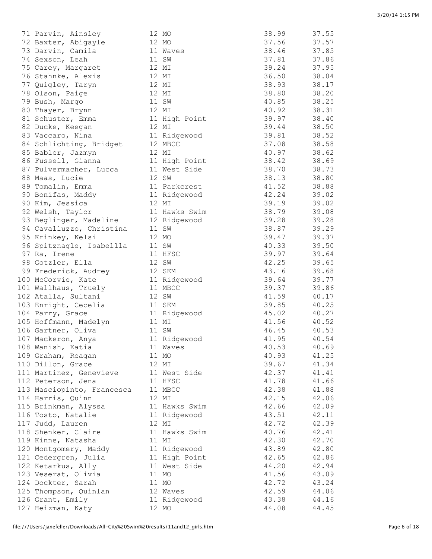| 71 Parvin, Ainsley         | 12 MO         | 38.99 | 37.55 |
|----------------------------|---------------|-------|-------|
| 72 Baxter, Abigayle        | 12 MO         | 37.56 | 37.57 |
| 73 Darvin, Camila          | 11 Waves      | 38.46 | 37.85 |
| 74 Sexson, Leah            | 11 SW         | 37.81 | 37.86 |
| 75 Carey, Margaret         | 12 MI         | 39.24 | 37.95 |
| 76 Stahnke, Alexis         | 12 MI         | 36.50 | 38.04 |
| 77 Quigley, Taryn          | 12 MI         | 38.93 | 38.17 |
| 78 Olson, Paige            | 12 MI         | 38.80 | 38.20 |
| 79 Bush, Margo             | 11 SW         | 40.85 | 38.25 |
| 80 Thayer, Brynn           | 12 MI         | 40.92 | 38.31 |
| 81 Schuster, Emma          | 11 High Point | 39.97 | 38.40 |
| 82 Ducke, Keegan           | 12 MI         | 39.44 | 38.50 |
| 83 Vaccaro, Nina           | 11 Ridgewood  | 39.81 | 38.52 |
| 84 Schlichting, Bridget    | 12 MBCC       | 37.08 | 38.58 |
| 85 Babler, Jazmyn          | 12 MI         | 40.97 | 38.62 |
| 86 Fussell, Gianna         | 11 High Point | 38.42 | 38.69 |
|                            | 11 West Side  | 38.70 | 38.73 |
| 87 Pulvermacher, Lucca     | 12 SW         |       | 38.80 |
| 88 Maas, Lucie             |               | 38.13 |       |
| 89 Tomalin, Emma           | 11 Parkcrest  | 41.52 | 38.88 |
| 90 Bonifas, Maddy          | 11 Ridgewood  | 42.24 | 39.02 |
| 90 Kim, Jessica            | 12 MI         | 39.19 | 39.02 |
| 92 Welsh, Taylor           | 11 Hawks Swim | 38.79 | 39.08 |
| 93 Beglinger, Madeline     | 12 Ridgewood  | 39.28 | 39.28 |
| 94 Cavalluzzo, Christina   | 11 SW         | 38.87 | 39.29 |
| 95 Krinkey, Kelsi          | 12 MO         | 39.47 | 39.37 |
| 96 Spitznagle, Isabellla   | 11 SW         | 40.33 | 39.50 |
| 97 Ra, Irene               | 11 HFSC       | 39.97 | 39.64 |
| 98 Gotzler, Ella           | 12 SW         | 42.25 | 39.65 |
| 99 Frederick, Audrey       | 12 SEM        | 43.16 | 39.68 |
| 100 McCorvie, Kate         | 11 Ridgewood  | 39.64 | 39.77 |
| 101 Wallhaus, Truely       | 11 MBCC       | 39.37 | 39.86 |
| 102 Atalla, Sultani        | 12 SW         | 41.59 | 40.17 |
| 103 Enright, Cecelia       | 11 SEM        | 39.85 | 40.25 |
| 104 Parry, Grace           | 11 Ridgewood  | 45.02 | 40.27 |
| 105 Hoffmann, Madelyn      | 11 MI         | 41.56 | 40.52 |
| 106 Gartner, Oliva         | 11 SW         | 46.45 | 40.53 |
| 107 Mackeron, Anya         | 11 Ridgewood  | 41.95 | 40.54 |
| 108 Wanish, Katia          | 11 Waves      | 40.53 | 40.69 |
| 109 Graham, Reagan         | 11 MO         | 40.93 | 41.25 |
| 110 Dillon, Grace          | 12 MI         | 39.67 | 41.34 |
| 111 Martinez, Genevieve    | 11 West Side  | 42.37 | 41.41 |
| 112 Peterson, Jena         | 11 HFSC       | 41.78 | 41.66 |
| 113 Masciopinto, Francesca | 11 MBCC       | 42.38 | 41.88 |
| 114 Harris, Quinn          | 12 MI         | 42.15 | 42.06 |
| 115 Brinkman, Alyssa       | 11 Hawks Swim | 42.66 | 42.09 |
| 116 Tosto, Natalie         | 11 Ridgewood  | 43.51 | 42.11 |
| 117 Judd, Lauren           | 12 MI         | 42.72 | 42.39 |
| 118 Shenker, Claire        | 11 Hawks Swim | 40.76 | 42.41 |
| 119 Kinne, Natasha         | 11 MI         | 42.30 | 42.70 |
| 120 Montgomery, Maddy      | 11 Ridgewood  | 43.89 | 42.80 |
| 121 Cedergren, Julia       | 11 High Point | 42.65 | 42.86 |
| 122 Ketarkus, Ally         | 11 West Side  | 44.20 | 42.94 |
|                            |               |       |       |
| 123 Veserat, Olivia        | 11 MO         | 41.56 | 43.09 |
| 124 Dockter, Sarah         | 11 MO         | 42.72 | 43.24 |
| 125 Thompson, Quinlan      | 12 Waves      | 42.59 | 44.06 |
| 126 Grant, Emily           | 11 Ridgewood  | 43.38 | 44.16 |
| 127 Heizman, Katy          | 12 MO         | 44.08 | 44.45 |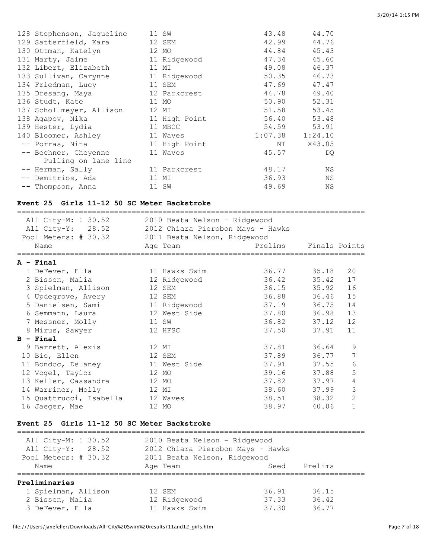| 128 Stephenson, Jaqueline | 11 SW         | 43.48               | 44.70  |
|---------------------------|---------------|---------------------|--------|
| 129 Satterfield, Kara     | 12 SEM        | 42.99               | 44.76  |
| 130 Ottman, Katelyn       | 12 MO         | 44.84               | 45.43  |
| 131 Marty, Jaime          | 11 Ridgewood  | 47.34               | 45.60  |
| 132 Libert, Elizabeth     | 11 MI         | 49.08               | 46.37  |
| 133 Sullivan, Carynne     | 11 Ridgewood  | 50.35               | 46.73  |
| 134 Friedman, Lucy        | 11 SEM        | 47.69               | 47.47  |
| 135 Dresang, Maya         | 12 Parkcrest  | 44.78               | 49.40  |
| 136 Studt, Kate           | 11 MO         | 50.90               | 52.31  |
| 137 Schollmeyer, Allison  | 12 MI         | 51.58               | 53.45  |
| 138 Agapov, Nika          | 11 High Point | 56.40               | 53.48  |
| 139 Hester, Lydia         | 11 MBCC       | 54.59               | 53.91  |
| 140 Bloomer, Ashley       | 11 Waves      | $1:07.38$ $1:24.10$ |        |
| -- Porras, Nina           | 11 High Point | NΤ                  | X43.05 |
| -- Beehner, Cheyenne      | 11 Waves      | 45.57               | DQ.    |
| Pulling on lane line      |               |                     |        |
| -- Herman, Sally          | 11 Parkcrest  | 48.17               | ΝS     |
| -- Demitrios, Ada         | 11 MI         | 36.93               | ΝS     |
| -- Thompson, Anna         | 11 SW         | 49.69               | ΝS     |

# **Event 25 Girls 11-12 50 SC Meter Backstroke**

| All City-M: ! 30.52<br>All City-Y: 28.52<br>Pool Meters: # 30.32 | 2010 Beata Nelson - Ridgewood<br>2012 Chiara Pierobon Mays - Hawks<br>2011 Beata Nelson, Ridgewood |                       |       |                |
|------------------------------------------------------------------|----------------------------------------------------------------------------------------------------|-----------------------|-------|----------------|
| Name                                                             | Age Team                                                                                           | Prelims Finals Points |       |                |
| $A -$ Final                                                      |                                                                                                    |                       |       |                |
| 1 DeFever, Ella                                                  | 11 Hawks Swim                                                                                      | 36.77 35.18           |       | 20             |
| 2 Bissen, Malia                                                  | 12 Ridgewood                                                                                       | 36.42 35.42           |       | 17             |
| 3 Spielman, Allison                                              | 12 SEM                                                                                             | 36.15 35.92           |       | 16             |
| 4 Updegrove, Avery                                               | 12 SEM                                                                                             | 36.88 36.46           |       | 15             |
| 5 Danielsen, Sami                                                | 11 Ridgewood                                                                                       | 37.19 36.75           |       | 14             |
| 6 Semmann, Laura                                                 | 12 West Side                                                                                       | 37.80 36.98           |       | 13             |
| 7 Messner, Molly                                                 | 11 SW                                                                                              | 36.82 37.12           |       | 12             |
| 8 Mirus, Sawyer                                                  | 12 HFSC                                                                                            | 37.50                 | 37.91 | 11             |
| $B - Final$                                                      |                                                                                                    |                       |       |                |
| 9 Barrett, Alexis                                                | 12 MI                                                                                              | 37.81 36.64           |       | 9              |
| 10 Bie, Ellen                                                    | 12 SEM                                                                                             | 37.89 36.77           |       | 7              |
| 11 Bondoc, Delaney                                               | 11 West Side                                                                                       | 37.91 37.55           |       | 6              |
| 12 Vogel, Taylor                                                 | 12 MO                                                                                              | 39.16 37.88           |       | 5              |
| 13 Keller, Cassandra                                             | 12 MO                                                                                              | 37.82 37.97           |       | 4              |
| 14 Warriner, Molly                                               | 12 MI                                                                                              | 38.60 37.99           |       | 3              |
| 15 Quattrucci, Isabella                                          | 12 Waves                                                                                           | 38.51 38.32           |       | $\overline{2}$ |
| 16 Jaeger, Mae                                                   | 12 MO                                                                                              | 38.97                 | 40.06 | $\mathbf{1}$   |

### **Event 25 Girls 11-12 50 SC Meter Backstroke**

| All City-M: ! 30.52<br>All City-Y: 28.52<br>Pool Meters: # 30.32 | 2010 Beata Nelson - Ridgewood<br>2012 Chiara Pierobon Mays - Hawks<br>2011 Beata Nelson, Ridgewood |       |         |
|------------------------------------------------------------------|----------------------------------------------------------------------------------------------------|-------|---------|
| Name                                                             | Age Team                                                                                           | Seed  | Prelims |
| Preliminaries                                                    |                                                                                                    |       |         |
| 1 Spielman, Allison                                              | 12 SEM                                                                                             | 36.91 | 36.15   |
| 2 Bissen, Malia                                                  | 12 Ridgewood                                                                                       | 37.33 | 36.42   |
| 3 DeFever, Ella                                                  | 11 Hawks Swim                                                                                      | 37.30 | 36.77   |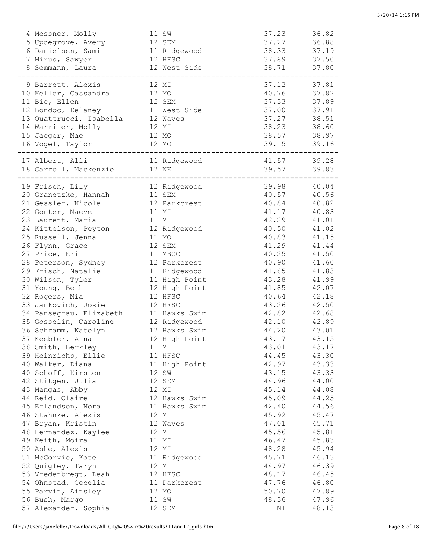| 4 Messner, Molly        |       | 11 SW          | 37.23          | 36.82          |
|-------------------------|-------|----------------|----------------|----------------|
| 5 Updegrove, Avery      |       | 12 SEM         | 37.27          | 36.88          |
| 6 Danielsen, Sami       |       | 11 Ridgewood   | 38.33          | 37.19          |
| 7 Mirus, Sawyer         |       | 12 HFSC        | 37.89          | 37.50          |
| 8 Semmann, Laura        |       | 12 West Side   | 38.71          | 37.80          |
|                         |       |                |                |                |
| 9 Barrett, Alexis       |       | 12 MI          | 37.12          | 37.81          |
| 10 Keller, Cassandra    |       | 12 MO          | 40.76          | 37.82          |
| 11 Bie, Ellen           |       | 12 SEM         | 37.33          | 37.89          |
| 12 Bondoc, Delaney      |       | 11 West Side   | 37.00          | 37.91          |
| 13 Quattrucci, Isabella |       | 12 Waves       | 37.27          | 38.51          |
| 14 Warriner, Molly      | 12 MI |                | 38.23          | 38.60          |
| 15 Jaeger, Mae          |       | 12 MO          | 38.57          | 38.97          |
| 16 Vogel, Taylor        |       | 12 MO          | 39.15          | 39.16          |
| 17 Albert, Alli         |       | 11 Ridgewood   | 41.57          | 39.28          |
| 18 Carroll, Mackenzie   |       | 12 NK          | 39.57          | 39.83          |
|                         |       |                |                |                |
| 19 Frisch, Lily         |       | 12 Ridgewood   | 39.98          | 40.04          |
| 20 Granetzke, Hannah    |       | 11 SEM         | 40.57          | 40.56          |
| 21 Gessler, Nicole      |       | 12 Parkcrest   | 40.84          | 40.82          |
| 22 Gonter, Maeve        |       | 11 MI          | 41.17          | 40.83          |
| 23 Laurent, Maria       |       | 11 MI          | 42.29          | 41.01          |
| 24 Kittelson, Peyton    |       | 12 Ridgewood   | 40.50          | 41.02          |
| 25 Russell, Jenna       |       | 11 MO          | 40.83          | 41.15          |
| 26 Flynn, Grace         |       | 12 SEM         | 41.29          | 41.44          |
| 27 Price, Erin          |       | 11 MBCC        | 40.25          | 41.50          |
| 28 Peterson, Sydney     |       | 12 Parkcrest   | 40.90          | 41.60          |
| 29 Frisch, Natalie      |       | 11 Ridgewood   | 41.85          | 41.83          |
| 30 Wilson, Tyler        |       | 11 High Point  | 43.28          | 41.99          |
| 31 Young, Beth          |       | 12 High Point  | 41.85          | 42.07          |
| 32 Rogers, Mia          |       | 12 HFSC        | 40.64          | 42.18          |
| 33 Jankovich, Josie     |       | 12 HFSC        | 43.26          | 42.50          |
| 34 Pansegrau, Elizabeth |       | 11 Hawks Swim  | 42.82          | 42.68          |
| 35 Gosselin, Caroline   |       | 12 Ridgewood   | 42.10          | 42.89          |
| 36 Schramm, Katelyn     |       | 12 Hawks Swim  | 44.20          | 43.01          |
| 37 Keebler, Anna        |       | 12 High Point  | 43.17          | 43.15          |
| 38 Smith, Berkley       |       | 11 MI          | 43.01          | 43.17          |
| 39 Heinrichs, Ellie     |       | 11 HFSC        | 44.45          | 43.30          |
| 40 Walker, Diana        |       | 11 High Point  | 42.97          | 43.33          |
| 40 Schoff, Kirsten      |       | 12 SW          | 43.15          | 43.33          |
| 42 Stitgen, Julia       |       | 12 SEM         | 44.96          | 44.00          |
| 43 Mangas, Abby         |       | 12 MI          | 45.14          | 44.08          |
| 44 Reid, Claire         |       | 12 Hawks Swim  | 45.09          | 44.25          |
| 45 Erlandson, Nora      |       | 11 Hawks Swim  | 42.40          | 44.56          |
| 46 Stahnke, Alexis      |       | 12 MI          | 45.92          | 45.47          |
| 47 Bryan, Kristin       |       | 12 Waves       | 47.01          | 45.71          |
| 48 Hernandez, Kaylee    |       | 12 MI          | 45.56          | 45.81          |
| 49 Keith, Moira         |       |                |                |                |
| 50 Ashe, Alexis         |       | 11 MI<br>12 MI | 46.47<br>48.28 | 45.83<br>45.94 |
|                         |       |                |                |                |
| 51 McCorvie, Kate       |       | 11 Ridgewood   | 45.71          | 46.13          |
| 52 Quigley, Taryn       |       | 12 MI          | 44.97          | 46.39          |
| 53 Vredenbregt, Leah    |       | 12 HFSC        | 48.17          | 46.45          |
| 54 Ohnstad, Cecelia     |       | 11 Parkcrest   | 47.76          | 46.80          |
| 55 Parvin, Ainsley      |       | 12 MO          | 50.70          | 47.89          |
| 56 Bush, Margo          |       | 11 SW          | 48.36          | 47.96          |
| 57 Alexander, Sophia    |       | 12 SEM         | NΤ             | 48.13          |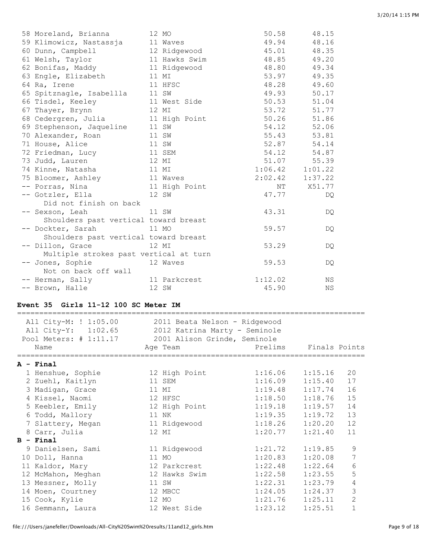| 58 Moreland, Brianna                   | 12 MO         | 50.58               | 48.15       |
|----------------------------------------|---------------|---------------------|-------------|
| 59 Klimowicz, Nastassja                | 11 Waves      | 49.94               | 48.16       |
| 60 Dunn, Campbell                      | 12 Ridgewood  | 45.01               | 48.35       |
| 61 Welsh, Taylor                       | 11 Hawks Swim | 48.85               | 49.20       |
| 62 Bonifas, Maddy                      | 11 Ridgewood  | 48.80               | 49.34       |
| 63 Engle, Elizabeth                    | 11 MI         | 53.97               | 49.35       |
| 64 Ra, Irene                           | 11 HFSC       | 48.28               | 49.60       |
| 65 Spitznagle, Isabellla               | 11 SW         | 49.93               | 50.17       |
| 66 Tisdel, Keeley                      | 11 West Side  | 50.53               | 51.04       |
| 67 Thayer, Brynn                       | 12 MI         | 53.72               | 51.77       |
| 68 Cedergren, Julia                    | 11 High Point |                     | 50.26 51.86 |
| 69 Stephenson, Jaqueline               | 11 SW         | 54.12               | 52.06       |
| 70 Alexander, Roan                     | 11 SW         | 55.43               | 53.81       |
| 71 House, Alice                        | 11 SW         | 52.87               | 54.14       |
| 72 Friedman, Lucy                      | 11 SEM        |                     | 54.12 54.87 |
| 73 Judd, Lauren                        | 12 MI         |                     | 51.07 55.39 |
| 74 Kinne, Natasha                      | 11 MI         | $1:06.42$ $1:01.22$ |             |
| 75 Bloomer, Ashley                     | 11 Waves      | 2:02.42             | 1:37.22     |
| -- Porras, Nina                        | 11 High Point | NT                  | X51.77      |
| -- Gotzler, Ella                       | 12 SW         | 47.77               | DQ.         |
| Did not finish on back                 |               |                     |             |
| 11 SW<br>-- Sexson, Leah               |               | 43.31               | DQ.         |
| Shoulders past vertical toward breast  |               |                     |             |
| -- Dockter, Sarah                      | 11 MO         | 59.57               | DQ.         |
| Shoulders past vertical toward breast  |               |                     |             |
| -- Dillon, Grace 12 MI                 |               | 53.29               | DQ          |
| Multiple strokes past vertical at turn |               |                     |             |
| -- Jones, Sophie                       | 12 Waves      | 59.53               | DQ.         |
| Not on back off wall                   |               |                     |             |
| -- Herman, Sally                       | 11 Parkcrest  | 1:12.02             | <b>NS</b>   |
| -- Brown, Halle                        | 12 SW         | 45.90               | ΝS          |

# **Event 35 Girls 11-12 100 SC Meter IM**

| All City-M: ! 1:05.00<br>All City-Y: 1:02.65<br>Pool Meters: # 1:11.17<br>Name | 2011 Beata Nelson - Ridgewood<br>2012 Katrina Marty - Seminole<br>2001 Alison Grinde, Seminole<br>Age Team | Prelims             | Finals Points |                |
|--------------------------------------------------------------------------------|------------------------------------------------------------------------------------------------------------|---------------------|---------------|----------------|
| A - Final                                                                      |                                                                                                            |                     |               |                |
| 1 Henshue, Sophie                                                              | 12 High Point                                                                                              | $1:16.06$ $1:15.16$ |               | 20             |
| 2 Zuehl, Kaitlyn                                                               | 11 SEM                                                                                                     | 1:16.09             | 1:15.40       | 17             |
| 3 Madigan, Grace                                                               | 11 MI                                                                                                      | 1:19.48             | 1:17.74       | 16             |
| 4 Kissel, Naomi                                                                | 12 HFSC                                                                                                    | 1:18.50             | 1:18.76       | 15             |
| 5 Keebler, Emily                                                               | 12 High Point                                                                                              | 1:19.18             | 1:19.57       | 14             |
| 6 Todd, Mallory                                                                | 11 NK                                                                                                      | 1:19.35             | 1:19.72       | 13             |
| 7 Slattery, Megan                                                              | 11 Ridgewood                                                                                               | 1:18.26             | 1:20.20       | 12             |
| 8 Carr, Julia                                                                  | 12 MI                                                                                                      | 1:20.77             | 1:21.40       | 11             |
| $B - Final$                                                                    |                                                                                                            |                     |               |                |
| 9 Danielsen, Sami                                                              | 11 Ridgewood                                                                                               | 1:21.72             | 1:19.85       | 9              |
| 10 Doll, Hanna                                                                 | 11 MO                                                                                                      | 1:20.83             | 1:20.08       | 7              |
| 11 Kaldor, Mary                                                                | 12 Parkcrest                                                                                               | 1:22.48             | 1:22.64       | 6              |
| 12 McMahon, Meghan                                                             | 12 Hawks Swim                                                                                              | 1:22.58             | 1:23.55       | 5              |
| 13 Messner, Molly                                                              | 11 SW                                                                                                      | 1:22.31             | 1:23.79       | $\overline{4}$ |
| 14 Moen, Courtney                                                              | 12 MBCC                                                                                                    | 1:24.05             | 1:24.37       | 3              |
| 15 Cook, Kylie                                                                 | 12 MO                                                                                                      | 1:21.76             | 1:25.11       | $\overline{c}$ |
| 16 Semmann, Laura                                                              | 12 West Side                                                                                               | 1:23.12             | 1:25.51       | $\mathbf{1}$   |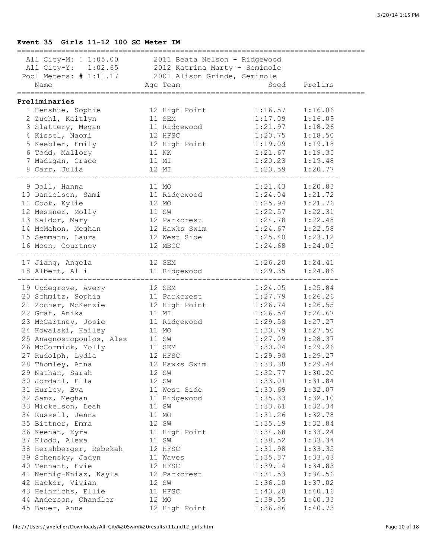#### **Event 35 Girls 11-12 100 SC Meter IM**

| All City-M: ! 1:05.00 2011 Beata Nelson - Ridgewood<br>All City-Y: 1:02.65 2012 Katrina Marty - Seminole<br>Pool Meters: # 1:11.17 2001 Alison Grinde, Seminole<br>Name Age Team Seed |                               |                     |              |
|---------------------------------------------------------------------------------------------------------------------------------------------------------------------------------------|-------------------------------|---------------------|--------------|
|                                                                                                                                                                                       |                               |                     |              |
|                                                                                                                                                                                       |                               |                     | Seed Prelims |
| ===================================<br>Preliminaries                                                                                                                                  |                               | =================== |              |
| 1 Henshue, Sophie                                                                                                                                                                     | 12 High Point                 | 1:16.57             | 1:16.06      |
| 2 Zuehl, Kaitlyn                                                                                                                                                                      | 11 SEM                        | 1:17.09             | 1:16.09      |
| 3 Slattery, Megan                                                                                                                                                                     | 11 Ridgewood                  | 1:21.97             | 1:18.26      |
| 4 Kissel, Naomi                                                                                                                                                                       | 12 HFSC                       | 1:20.75             | 1:18.50      |
| 5 Keebler, Emily                                                                                                                                                                      | 12 High Point<br>11 NK        | 1:19.09             | 1:19.18      |
| 6 Todd, Mallory                                                                                                                                                                       |                               | 1:21.67             | 1:19.35      |
| 7 Madigan, Grace                                                                                                                                                                      | 11 MI                         | 1:20.23             | 1:19.48      |
| 8 Carr, Julia                                                                                                                                                                         | 12 MI                         | 1:20.59             | 1:20.77      |
|                                                                                                                                                                                       |                               |                     |              |
| 9 Doll, Hanna                                                                                                                                                                         | 11 MO                         | 1:21.43             | 1:20.83      |
| 10 Danielsen, Sami 11 Ridgewood                                                                                                                                                       |                               | 1:24.04             | 1:21.72      |
| 11 Cook, Kylie                                                                                                                                                                        | 12 MO                         | 1:25.94             | 1:21.76      |
| 12 Messner, Molly                                                                                                                                                                     | 11 SW                         | 1:22.57             | 1:22.31      |
| 13 Kaldor, Mary                                                                                                                                                                       | 12 Parkcrest                  | 1:24.78             | 1:22.48      |
| 14 McMahon, Meghan                                                                                                                                                                    | 12 Hawks Swim                 | 1:24.67             | 1:22.58      |
| 15 Semmann, Laura                                                                                                                                                                     | 12 West Side                  | 1:25.40             | 1:23.12      |
| 16 Moen, Courtney                                                                                                                                                                     | 12 MBCC                       | 1:24.68             | 1:24.05      |
| 17 Jiang, Angela                                                                                                                                                                      | 12 SEM                        | $1:26.20$ $1:24.41$ |              |
| 18 Albert, Alli                                                                                                                                                                       | 11 Ridgewood 1:29.35          |                     | 1:24.86      |
|                                                                                                                                                                                       |                               |                     |              |
| 19 Updegrove, Avery 12 SEM                                                                                                                                                            |                               | 1:24.05             | 1:25.84      |
| 20 Schmitz, Sophia                                                                                                                                                                    | 11 Parkcrest<br>12 High Point | 1:27.79             | 1:26.26      |
| 21 Zocher, McKenzie                                                                                                                                                                   |                               | 1:26.74             | 1:26.55      |
| 22 Graf, Anika                                                                                                                                                                        | 11 MI                         | 1:26.54             | 1:26.67      |
| 23 McCartney, Josie                                                                                                                                                                   | 11 Ridgewood                  | 1:29.58             | 1:27.27      |
| 24 Kowalski, Hailey<br>24 Kowaiski, Hailey<br>25 Anagnostopoulos, Alex 11 SW<br>26 McCormick, Molly 11 SEM<br>27 Budolph, Lydia 12 HFSC                                               | 11 MO                         | 1:30.79             | 1:27.50      |
|                                                                                                                                                                                       |                               | 1:27.09             | 1:28.37      |
|                                                                                                                                                                                       |                               | 1:30.04             | 1:29.26      |
|                                                                                                                                                                                       |                               | 1:29.90             | 1:29.27      |
| 28 Thomley, Anna                                                                                                                                                                      | 12 Hawks Swim                 | 1:33.38             | 1:29.44      |
| 29 Nathan, Sarah                                                                                                                                                                      | 12 SW                         | 1:32.77             | 1:30.20      |
| 30 Jordahl, Ella                                                                                                                                                                      | 12 SW                         | 1:33.01             | 1:31.84      |
| 31 Hurley, Eva                                                                                                                                                                        | 11 West Side                  | 1:30.69             | 1:32.07      |
| 32 Samz, Meghan                                                                                                                                                                       | 11 Ridgewood                  | 1:35.33             | 1:32.10      |
| 33 Mickelson, Leah                                                                                                                                                                    | 11 SW                         | 1:33.61             | 1:32.34      |
| 34 Russell, Jenna                                                                                                                                                                     | 11 MO                         | 1:31.26             | 1:32.78      |
| 35 Bittner, Emma                                                                                                                                                                      | 12 SW                         | 1:35.19             | 1:32.84      |
| 36 Keenan, Kyra                                                                                                                                                                       | 11 High Point                 | 1:34.68             | 1:33.24      |
| 37 Klodd, Alexa                                                                                                                                                                       | 11 SW                         | 1:38.52             | 1:33.34      |
| 38 Hershberger, Rebekah                                                                                                                                                               | 12 HFSC                       | 1:31.98             | 1:33.35      |
| 39 Schensky, Jadyn                                                                                                                                                                    | 11 Waves                      | 1:35.37             | 1:33.43      |
| 40 Tennant, Evie                                                                                                                                                                      | 12 HFSC                       | 1:39.14             | 1:34.83      |
| 41 Nennig-Kniaz, Kayla                                                                                                                                                                | 12 Parkcrest                  | 1:31.53             | 1:36.56      |
| 42 Hacker, Vivian                                                                                                                                                                     | 12 SW                         | 1:36.10             | 1:37.02      |
| 43 Heinrichs, Ellie                                                                                                                                                                   | 11 HFSC                       | 1:40.20             | 1:40.16      |
| 44 Anderson, Chandler                                                                                                                                                                 | 12 MO                         | 1:39.55             | 1:40.33      |
| 45 Bauer, Anna                                                                                                                                                                        | 12 High Point                 | 1:36.86             | 1:40.73      |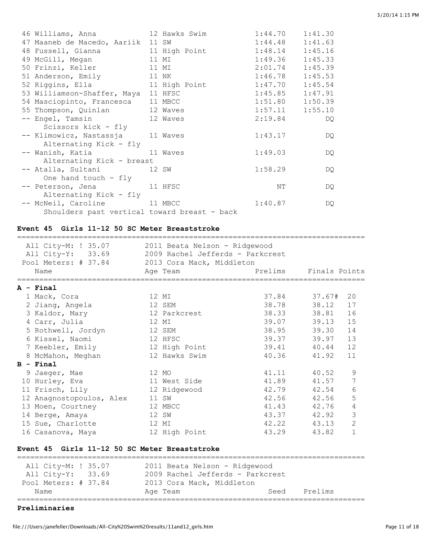| 46 Williams, Anna 12 Hawks Swim                  |                               | $1:44.70$ $1:41.30$ |     |
|--------------------------------------------------|-------------------------------|---------------------|-----|
| 47 Maaneb de Macedo, Aariik 11 SW                |                               | $1:44.48$ $1:41.63$ |     |
| 48 Fussell, Gianna 11 High Point 1:48.14 1:45.16 |                               |                     |     |
| 49 McGill, Megan 11 MI                           |                               | $1:49.36$ $1:45.33$ |     |
| 50 Frinzi, Keller 11 MI                          |                               | $2:01.74$ 1:45.39   |     |
| 51 Anderson, Emily 11 NK                         |                               | $1:46.78$ $1:45.53$ |     |
| 52 Riggins, Ella                                 | 11 High Point 1:47.70 1:45.54 |                     |     |
| 53 Williamson-Shaffer, Maya 11 HFSC              |                               | $1:45.85$ $1:47.91$ |     |
| 54 Masciopinto, Francesca 11 MBCC                |                               | $1:51.80$ $1:50.39$ |     |
| 55 Thompson, Quinlan 12 Waves                    |                               | $1:57.11$ $1:55.10$ |     |
| -- Engel, Tamsin 12 Waves                        |                               | 2:19.84             | DQ  |
| Scissors kick - fly                              |                               |                     |     |
| -- Klimowicz, Nastassja 11 Waves                 |                               | 1:43.17             | DQ  |
| Alternating Kick - fly                           |                               |                     |     |
| -- Wanish, Katia Maves                           |                               | 1:49.03             | DQ  |
| Alternating Kick - breast                        |                               |                     |     |
| -- Atalla, Sultani                         12 SW |                               | 1:58.29             | DQ. |
| One hand touch - fly                             |                               |                     |     |
| -- Peterson, Jena 11 HFSC                        |                               | NΤ                  | DQ  |
| Alternating Kick - fly                           |                               |                     |     |
| -- McNeil, Caroline 11 MBCC                      |                               | 1:40.87             | DQ  |
| Shoulders past vertical toward breast - back     |                               |                     |     |

#### **Event 45 Girls 11-12 50 SC Meter Breaststroke**

| All City-M: ! 35.07                                | 2011 Beata Nelson - Ridgewood |       |                               |  |  |  |  |
|----------------------------------------------------|-------------------------------|-------|-------------------------------|--|--|--|--|
| All City-Y: 33.69 2009 Rachel Jefferds - Parkcrest |                               |       |                               |  |  |  |  |
| Pool Meters: # 37.84 2013 Cora Mack, Middleton     |                               |       |                               |  |  |  |  |
| Name                                               | Age Team                      |       | Prelims Finals Points         |  |  |  |  |
| A - Final                                          |                               |       |                               |  |  |  |  |
| 1 Mack, Cora                                       | 12 MI                         |       | 37.84 37.67# 20               |  |  |  |  |
| 2 Jiang, Angela                                    | 12 SEM                        |       | 38.78 38.12<br>17             |  |  |  |  |
| 3 Kaldor, Mary                                     | 12 Parkcrest                  |       | 38.33 38.81<br>16             |  |  |  |  |
| 4 Carr, Julia                                      | 12 MI                         |       | 39.07 39.13<br>15             |  |  |  |  |
| 5 Rothwell, Jordyn                                 | 12 SEM                        |       | 38.95 39.30<br>14             |  |  |  |  |
| 6 Kissel, Naomi                                    | 12 HFSC                       |       | 39.37 39.97<br>13             |  |  |  |  |
| 7 Keebler, Emily                                   | 12 High Point                 |       | 39.41 40.44<br>12             |  |  |  |  |
| 8 McMahon, Meghan                                  | 12 Hawks Swim                 | 40.36 | 41.92<br>11                   |  |  |  |  |
| $B - Final$                                        |                               |       |                               |  |  |  |  |
| 9 Jaeger, Mae                                      | 12 MO                         |       | 41.11 40.52<br>9              |  |  |  |  |
| 10 Hurley, Eva                                     | 11 West Side                  |       | 7<br>41.89 41.57              |  |  |  |  |
| 11 Frisch, Lily                                    | 12 Ridgewood                  |       | 6<br>42.79 42.54              |  |  |  |  |
| 12 Anagnostopoulos, Alex                           | 11 SW                         |       | 5<br>42.56 42.56              |  |  |  |  |
| 13 Moen, Courtney                                  | 12 MBCC                       |       | 4<br>41.43 42.76              |  |  |  |  |
| 14 Berge, Amaya                                    | 12 SW                         |       | 3<br>43.37 42.92              |  |  |  |  |
| 15 Sue, Charlotte                                  | 12 MI                         |       | $\overline{c}$<br>42.22 43.13 |  |  |  |  |
| 16 Casanova, Maya                                  | 12 High Point                 | 43.29 | $\mathbf{1}$<br>43.82         |  |  |  |  |
|                                                    |                               |       |                               |  |  |  |  |
| Event 45 Girls 11-12 50 SC Meter Breaststroke      |                               |       |                               |  |  |  |  |

#### ===============================================================================

| All City-M: ! 35.07<br>All City-Y: 33.69 | 2011 Beata Nelson - Ridgewood<br>2009 Rachel Jefferds - Parkcrest |      |         |
|------------------------------------------|-------------------------------------------------------------------|------|---------|
| Pool Meters: # 37.84                     | 2013 Cora Mack, Middleton                                         |      |         |
| Name                                     | Age Team                                                          | Seed | Prelims |
|                                          |                                                                   |      |         |

#### **Preliminaries**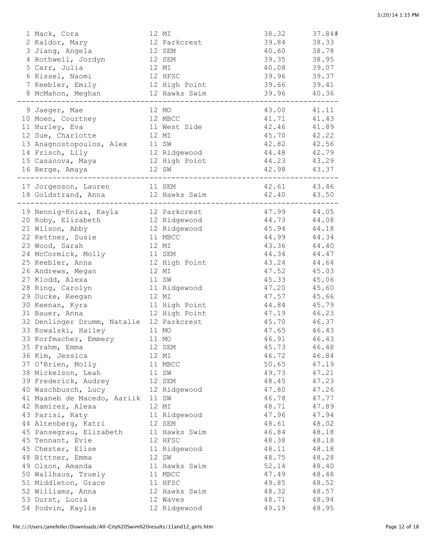| 1 Mack, Cora                                  | 12 MI            | 38.32       | 37.84# |
|-----------------------------------------------|------------------|-------------|--------|
| 2 Kaldor, Mary                                | 12 Parkcrest     | 39.84       | 38.33  |
| 3 Jiang, Angela                               | 12 SEM           | 40.60       | 38.78  |
| 4 Rothwell, Jordyn                            | 12 SEM           | 39.35       | 38.95  |
| 5 Carr, Julia                                 | 12 MI            | 40.08       | 39.07  |
| 6 Kissel, Naomi                               | 12 HFSC          | 39.96       | 39.37  |
| 7 Keebler, Emily                              | 12 High Point    | 39.66       | 39.41  |
| 8 McMahon, Meghan                             | 12 Hawks Swim    | 39.96 40.36 |        |
| . _ _ _ _ _ _ _ _ _ _ _ _ _ _ _               |                  |             |        |
| 9 Jaeger, Mae                                 | 12 MO            | 43.00       | 41.11  |
| 10 Moen, Courtney                             | 12 MBCC          | 41.71       | 41.43  |
| 11 Hurley, Eva                                | 11 West Side     | 42.46       | 41.89  |
| 12 Sue, Charlotte                             | 12 MI            | 45.70       | 42.22  |
| 13 Anagnostopoulos, Alex                      | 11 SW            | 42.82       | 42.56  |
| 14 Frisch, Lily                               | 12 Ridgewood     | 44.48       | 42.79  |
| 15 Casanova, Maya                             | 12 High Point    | 44.23       | 43.29  |
| 16 Berge, Amaya                               | 12 SW            | 42.98 43.37 |        |
| ----------------------------------            |                  |             |        |
| 17 Jorgenson, Lauren                          | 11 SEM           | 42.61 43.46 |        |
| 18 Goldstrand, Anna 12 Hawks Swim 42.40 43.50 |                  |             |        |
|                                               |                  |             |        |
| 19 Nennig-Kniaz, Kayla                        | 12 Parkcrest     | 47.99       | 44.05  |
| 20 Roby, Elizabeth                            | 12 Ridgewood     | 44.73       | 44.08  |
| 21 Wilson, Abby                               | 12 Ridgewood     | 45.94       | 44.18  |
| 22 Kettner, Susie                             | 11 MBCC          | 44.99       | 44.34  |
| 23 Wood, Sarah                                | 12 MI            | 43.36       | 44.40  |
| 24 McCormick, Molly                           | 11 SEM           | 44.34       | 44.47  |
| 25 Keebler, Anna                              | 12 High Point    | 43.24       | 44.64  |
| 26 Andrews, Megan                             | 12 MI            | 47.52       | 45.03  |
| 27 Klodd, Alexa                               | 11 SW            | 45.33       | 45.06  |
| 28 Ring, Carolyn                              | 11 Ridgewood     | 47.20       | 45.60  |
| 29 Ducke, Keegan                              | 12 MI            | 47.57       | 45.66  |
| 30 Keenan, Kyra                               | 11 High Point    | 44.84       | 45.79  |
| 31 Bauer, Anna                                | 12 High Point    | 47.19       | 46.23  |
| 32 Denlinger Drumm, Natalie 12 Parkcrest      |                  | 45.70       | 46.37  |
| 33 Kowalski, Hailey                           | 11 MO            | 47.65       | 46.43  |
|                                               | 11 MO            | 46.91       | 46.43  |
| 33 Korfmacher, Emmery<br>35 Frahm, Emma       | 12 SEM           | 45.73       | 46.48  |
| 36 Kim, Jessica                               |                  | 46.72       |        |
| 37 O'Brien, Molly                             | 12 MI<br>11 MBCC | 50.65       | 46.84  |
|                                               |                  |             | 47.19  |
| 38 Mickelson, Leah                            | 11 SW            | 49.73       | 47.21  |
| 39 Frederick, Audrey                          | 12 SEM           | 48.45       | 47.23  |
| 40 Waschbusch, Lucy                           | 12 Ridgewood     | 47.80       | 47.26  |
| 41 Maaneb de Macedo, Aariik                   | 11 SW<br>12 MI   | 46.78       | 47.77  |
| 42 Ramirez, Alexa                             |                  | 48.71       | 47.89  |
| 43 Parisi, Katy                               | 11 Ridgewood     | 47.96       | 47.94  |
| 44 Altenberg, Katri                           | 12 SEM           | 48.61       | 48.02  |
| 45 Pansegrau, Elizabeth                       | 11 Hawks Swim    | 46.84       | 48.18  |
| 45 Tennant, Evie                              | 12 HFSC          | 48.38       | 48.18  |
| 45 Chester, Elise                             | 11 Ridgewood     | 48.11       | 48.18  |
| 48 Bittner, Emma                              | 12 SW            | 48.75       | 48.28  |
| 49 Olson, Amanda                              | 11 Hawks Swim    | 52.14       | 48.40  |
| 50 Wallhaus, Truely                           | 11 MBCC          | 47.49       | 48.48  |
| 51 Middleton, Grace                           | 11 HFSC          | 49.85       | 48.52  |
| 52 Williams, Anna                             | 12 Hawks Swim    | 48.32       | 48.57  |
| 53 Durst, Lucia                               | 12 Waves         | 48.71       | 48.94  |
| 54 Podvin, Kaylie                             | 12 Ridgewood     | 49.19       | 48.95  |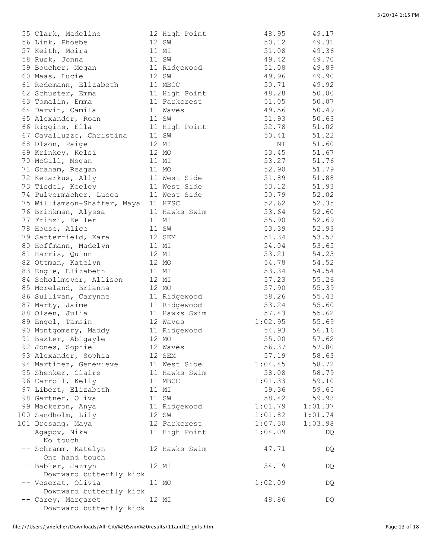| 55 Clark, Madeline                  |       | 12 High Point | 48.95     | 49.17   |
|-------------------------------------|-------|---------------|-----------|---------|
| 56 Link, Phoebe                     |       | 12 SW         | 50.12     | 49.31   |
| 57 Keith, Moira                     |       | 11 MI         | 51.08     | 49.36   |
| 58 Rusk, Jonna                      |       | 11 SW         | 49.42     | 49.70   |
| 59 Boucher, Megan                   |       | 11 Ridgewood  | 51.08     | 49.89   |
| 60 Maas, Lucie                      |       | 12 SW         | 49.96     | 49.90   |
| 61 Redemann, Elizabeth              |       | 11 MBCC       | 50.71     | 49.92   |
| 62 Schuster, Emma                   |       | 11 High Point | 48.28     | 50.00   |
| 63 Tomalin, Emma                    |       | 11 Parkcrest  | 51.05     | 50.07   |
| 64 Darvin, Camila                   |       | 11 Waves      | 49.56     | 50.49   |
| 65 Alexander, Roan                  |       | 11 SW         | 51.93     | 50.63   |
| 66 Riggins, Ella                    |       | 11 High Point | 52.78     | 51.02   |
| 67 Cavalluzzo, Christina            |       | 11 SW         | 50.41     | 51.22   |
| 68 Olson, Paige                     |       | 12 MI         | $\rm{NT}$ | 51.60   |
| 69 Krinkey, Kelsi                   |       | 12 MO         | 53.45     | 51.67   |
| 70 McGill, Megan                    |       | 11 MI         | 53.27     | 51.76   |
| 71 Graham, Reagan                   |       | 11 MO         | 52.90     | 51.79   |
| 72 Ketarkus, Ally                   |       | 11 West Side  | 51.89     | 51.88   |
| 73 Tisdel, Keeley                   |       | 11 West Side  | 53.12     | 51.93   |
| 74 Pulvermacher, Lucca              |       | 11 West Side  | 50.79     | 52.02   |
| 75 Williamson-Shaffer, Maya 11 HFSC |       |               | 52.62     | 52.35   |
| 76 Brinkman, Alyssa                 |       | 11 Hawks Swim | 53.64     | 52.60   |
| 77 Frinzi, Keller                   |       | 11 MI         | 55.90     | 52.69   |
| 78 House, Alice                     |       | 11 SW         | 53.39     | 52.93   |
| 79 Satterfield, Kara                |       | 12 SEM        | 51.34     | 53.53   |
| 80 Hoffmann, Madelyn                | 11 MI |               | 54.04     | 53.65   |
| 81 Harris, Quinn                    | 12 MI |               | 53.21     | 54.23   |
| 82 Ottman, Katelyn                  |       | 12 MO         | 54.78     | 54.52   |
| 83 Engle, Elizabeth                 |       | 11 MI         | 53.34     | 54.54   |
| 84 Schollmeyer, Allison             |       | 12 MI         | 57.23     | 55.26   |
| 85 Moreland, Brianna                |       | 12 MO         | 57.90     | 55.39   |
| 86 Sullivan, Carynne                |       | 11 Ridgewood  | 58.26     | 55.43   |
| 87 Marty, Jaime                     |       | 11 Ridgewood  | 53.24     | 55.60   |
| 88 Olsen, Julia                     |       | 11 Hawks Swim | 57.43     | 55.62   |
| 89 Engel, Tamsin                    |       | 12 Waves      | 1:02.95   | 55.69   |
| 90 Montgomery, Maddy                |       | 11 Ridgewood  | 54.93     | 56.16   |
| 91 Baxter, Abigayle                 |       | 12 MO         | 55.00     | 57.62   |
| 92 Jones, Sophie                    |       | 12 Waves      | 56.37     | 57.80   |
| 93 Alexander, Sophia                |       | 12 SEM        | 57.19     | 58.63   |
| 94 Martinez, Genevieve              |       | 11 West Side  | 1:04.45   | 58.72   |
| 95 Shenker, Claire                  |       | 11 Hawks Swim | 58.08     | 58.79   |
| 96 Carroll, Kelly                   |       | 11 MBCC       | 1:01.33   | 59.10   |
| 97 Libert, Elizabeth                |       | 11 MI         | 59.36     | 59.65   |
| 98 Gartner, Oliva                   |       | 11 SW         | 58.42     | 59.93   |
| 99 Mackeron, Anya                   |       | 11 Ridgewood  | 1:01.79   | 1:01.37 |
| 100 Sandholm, Lily                  |       | 12 SW         | 1:01.82   | 1:01.74 |
| 101 Dresang, Maya                   |       | 12 Parkcrest  | 1:07.30   | 1:03.98 |
| -- Agapov, Nika                     |       | 11 High Point | 1:04.09   | DQ      |
| No touch                            |       |               |           |         |
| -- Schramm, Katelyn                 |       | 12 Hawks Swim | 47.71     | DQ      |
| One hand touch<br>-- Babler, Jazmyn |       | 12 MI         | 54.19     |         |
| Downward butterfly kick             |       |               |           | DQ      |
| -- Veserat, Olivia                  |       | 11 MO         | 1:02.09   | DQ      |
| Downward butterfly kick             |       |               |           |         |
| -- Carey, Margaret                  |       | 12 MI         | 48.86     | DQ      |
| Downward butterfly kick             |       |               |           |         |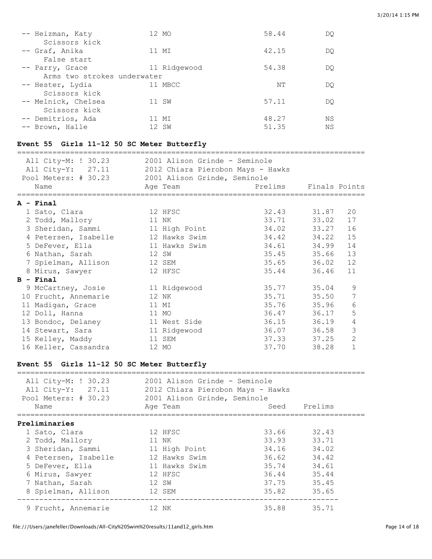| -- Heizman, Katy            | 12 MO        | 58.44 | DO |
|-----------------------------|--------------|-------|----|
| Scissors kick               |              |       |    |
| -- Graf, Anika              | 11 MI        | 42.15 | DO |
| False start                 |              |       |    |
| -- Parry, Grace             | 11 Ridgewood | 54.38 | DO |
| Arms two strokes underwater |              |       |    |
| -- Hester, Lydia            | 11 MBCC      | NΤ    | DO |
| Scissors kick               |              |       |    |
| -- Melnick, Chelsea         | 11 SW        | 57.11 | DO |
| Scissors kick               |              |       |    |
| -- Demitrios, Ada           | 11 MI        | 48.27 | ΝS |
| -- Brown, Halle             | 12 SW        | 51.35 | NS |
|                             |              |       |    |

# **Event 55 Girls 11-12 50 SC Meter Butterfly**

| All City-M: ! 30.23 2001 Alison Grinde - Seminole<br>All City-Y: 27.11 2012 Chiara Pierobon Mays - Hawks |                                    |                                    |               |                |
|----------------------------------------------------------------------------------------------------------|------------------------------------|------------------------------------|---------------|----------------|
| Pool Meters: # 30.23 2001 Alison Grinde, Seminole                                                        |                                    |                                    |               |                |
| Name                                                                                                     | Age Team<br>====================== | Prelims                            | Finals Points |                |
| =================<br>A - Final                                                                           |                                    | __________________________________ |               |                |
| 1 Sato, Clara                                                                                            | 12 HFSC                            | 32.43                              | 31.87         | 20             |
| 2 Todd, Mallory                                                                                          | 11 NK                              | 33.71                              | 33.02         | 17             |
| 3 Sheridan, Sammi                                                                                        | 11 High Point                      | 34.02                              | 33.27         | 16             |
| 4 Petersen, Isabelle                                                                                     | 12 Hawks Swim                      | 34.42                              | 34.22         | 15             |
| 5 DeFever, Ella                                                                                          | 11 Hawks Swim                      | 34.61                              | 34.99         | 14             |
| 6 Nathan, Sarah                                                                                          | 12 SW                              | 35.45                              | 35.66         | 13             |
| 7 Spielman, Allison                                                                                      | 12 SEM                             | 35.65                              | 36.02         | 12             |
| 8 Mirus, Sawyer                                                                                          | 12 HFSC                            | 35.44                              | 36.46         | 11             |
| $B - Final$                                                                                              |                                    |                                    |               |                |
| 9 McCartney, Josie                                                                                       | 11 Ridgewood                       | 35.77                              | 35.04         | $\mathsf 9$    |
| 10 Frucht, Annemarie                                                                                     | 12 NK                              | 35.71                              | 35.50         | $\overline{7}$ |
| 11 Madigan, Grace                                                                                        | 11 MI                              | 35.76                              | 35.96         | 6              |
| 12 Doll, Hanna                                                                                           | 11 MO                              | 36.47                              | 36.17         | $\mathsf S$    |
| 13 Bondoc, Delaney                                                                                       | 11 West Side                       | 36.15                              | 36.19         | $\sqrt{4}$     |
| 14 Stewart, Sara                                                                                         | 11 Ridgewood                       | 36.07                              | 36.58         | $\mathfrak{Z}$ |
| 15 Kelley, Maddy                                                                                         | 11 SEM                             | 37.33                              | 37.25         | $\overline{2}$ |
| 16 Keller, Cassandra                                                                                     | 12 MO                              | 37.70                              | 38.28         | $\mathbf{1}$   |
| Event 55 Girls 11-12 50 SC Meter Butterfly<br>_________________________________                          |                                    |                                    |               |                |
| All City-M: ! 30.23 2001 Alison Grinde - Seminole                                                        |                                    |                                    |               |                |
| All City-Y: 27.11                                                                                        | 2012 Chiara Pierobon Mays - Hawks  |                                    |               |                |
| Pool Meters: # 30.23                                                                                     | 2001 Alison Grinde, Seminole       |                                    |               |                |
| Name                                                                                                     | Age Team                           | Seed                               | Prelims       |                |
| Preliminaries                                                                                            |                                    |                                    |               |                |
| 1 Sato, Clara                                                                                            | 12 HFSC                            | 33.66                              | 32.43         |                |
| 2 Todd, Mallory                                                                                          | 11 NK                              | 33.93                              | 33.71         |                |
| 3 Sheridan, Sammi                                                                                        | 11 High Point                      | 34.16                              | 34.02         |                |
| 4 Petersen, Isabelle                                                                                     | 12 Hawks Swim                      | 36.62                              | 34.42         |                |
| 5 DeFever, Ella                                                                                          | 11 Hawks Swim                      | 35.74                              | 34.61         |                |
| 6 Mirus, Sawyer                                                                                          | 12 HFSC                            | 36.44                              | 35.44         |                |
| 7 Nathan, Sarah                                                                                          | 12 SW                              | 37.75                              | 35.45         |                |
| 8 Spielman, Allison                                                                                      | 12 SEM                             | 35.82                              | 35.65         |                |

------------------------------------------------------------------------- 9 Frucht, Annemarie 12 NK 35.88 35.71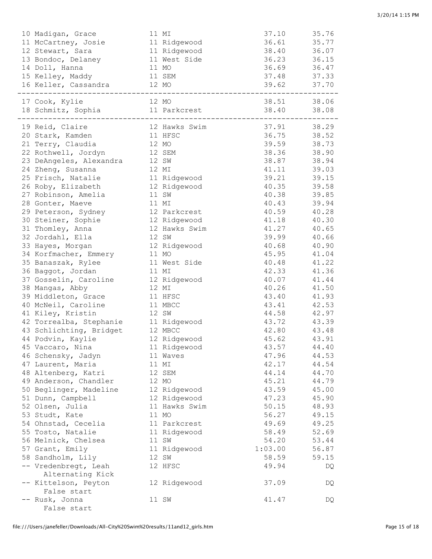| 10 Madigan, Grace                                | 11 MI         | 37.10       | 35.76 |
|--------------------------------------------------|---------------|-------------|-------|
| 11 McCartney, Josie 11 Ridgewood                 |               | 36.61       | 35.77 |
| 12 Stewart, Sara<br>11 Ridgewood                 |               | 38.40 36.07 |       |
| 13 Bondoc, Delaney 11 West Side                  |               | 36.23 36.15 |       |
| 14 Doll, Hanna<br>11 MO                          |               | 36.69 36.47 |       |
| 15 Kelley, Maddy 11 SEM                          |               | 37.48 37.33 |       |
| 16 Keller, Cassandra 12 MO                       |               | 39.62 37.70 |       |
| 17 Cook, Kylie                                   | 12 MO         | 38.51 38.06 |       |
| 18 Schmitz, Sophia 11 Parkcrest                  | _____________ | 38.40 38.08 |       |
| 19 Reid, Claire <b>12 Hawks Swim</b> 37.91 38.29 |               |             |       |
| 20 Stark, Kamden 11 HFSC                         |               | 36.75 38.52 |       |
| 21 Terry, Claudia 12 MO                          |               | 39.59 38.73 |       |
| 22 Rothwell, Jordyn 12 SEM                       |               | 38.36 38.90 |       |
| 23 DeAngeles, Alexandra 12 SW                    |               | 38.87 38.94 |       |
| 24 Zheng, Susanna<br>12 MI                       |               | 41.11 39.03 |       |
| 25 Frisch, Natalie 11 Ridgewood                  |               | 39.21 39.15 |       |
| 26 Roby, Elizabeth 12 Ridgewood                  |               | 40.35 39.58 |       |
| 27 Robinson, Amelia                              | 11 SW         | 40.38 39.85 |       |
| 28 Gonter, Maeve                                 | 11 MI         | 40.43 39.94 |       |
| 29 Peterson, Sydney 12 Parkcrest                 |               | 40.59 40.28 |       |
| 30 Steiner, Sophie 12 Ridgewood                  |               | 41.18       | 40.30 |
| 31 Thomley, Anna                                 | 12 Hawks Swim | 41.27       | 40.65 |
| 32 Jordahl, Ella                                 | 12 SW         | 39.99       | 40.66 |
| 33 Hayes, Morgan                                 | 12 Ridgewood  | 40.68       | 40.90 |
| 34 Korfmacher, Emmery                            | 11 MO         | 45.95       | 41.04 |
| 35 Banaszak, Rylee                               | 11 West Side  | 40.48       | 41.22 |
| 36 Baggot, Jordan                                | 11 MI         | 42.33       | 41.36 |
| 37 Gosselin, Caroline                            | 12 Ridgewood  | 40.07       | 41.44 |
| 38 Mangas, Abby                                  | 12 MI         | 40.26       | 41.50 |
| 39 Middleton, Grace                              | 11 HFSC       | 43.40       | 41.93 |
| 40 McNeil, Caroline<br>11 MBCC                   |               | 43.41       | 42.53 |
| 41 Kiley, Kristin<br>12 SW                       |               | 44.58 42.97 |       |
| 42 Torrealba, Stephanie 11 Ridgewood             |               | 43.72 43.39 |       |
| 43 Schlichting, Bridget                          | 12 MBCC       | 42.80 43.48 |       |
| 44 Podvin, Kaylie                                | 12 Ridgewood  | 45.62       | 43.91 |
| 45 Vaccaro, Nina                                 | 11 Ridgewood  | 43.57       | 44.40 |
| 46 Schensky, Jadyn                               | 11 Waves      | 47.96       | 44.53 |
| 47 Laurent, Maria                                | 11 MI         | 42.17       | 44.54 |
| 48 Altenberg, Katri                              | 12 SEM        | 44.14       | 44.70 |
| 49 Anderson, Chandler                            | 12 MO         | 45.21       | 44.79 |
| 50 Beglinger, Madeline                           | 12 Ridgewood  | 43.59       | 45.00 |
| 51 Dunn, Campbell                                | 12 Ridgewood  | 47.23       | 45.90 |
| 52 Olsen, Julia                                  | 11 Hawks Swim | 50.15       | 48.93 |
| 53 Studt, Kate                                   | 11 MO         | 56.27       | 49.15 |
| 54 Ohnstad, Cecelia                              | 11 Parkcrest  | 49.69       | 49.25 |
| 55 Tosto, Natalie                                | 11 Ridgewood  | 58.49       | 52.69 |
| 56 Melnick, Chelsea                              | 11 SW         | 54.20       | 53.44 |
| 57 Grant, Emily                                  | 11 Ridgewood  | 1:03.00     | 56.87 |
| 58 Sandholm, Lily                                | 12 SW         | 58.59       | 59.15 |
| -- Vredenbregt, Leah<br>Alternating Kick         | 12 HFSC       | 49.94       | DQ    |
| -- Kittelson, Peyton                             | 12 Ridgewood  | 37.09       | DQ    |
| False start                                      |               |             |       |
| -- Rusk, Jonna<br>False start                    | 11 SW         | 41.47       | DQ    |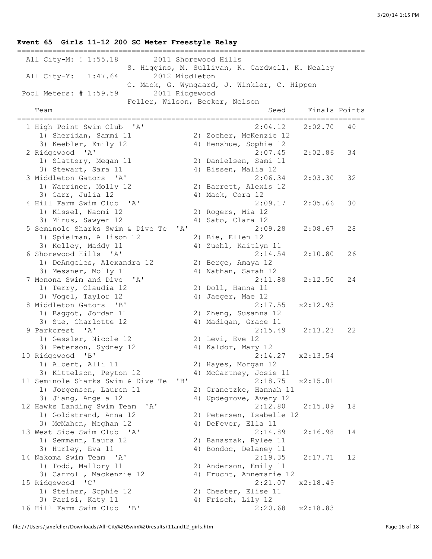### =============================================================================== All City-M: ! 1:55.18 2011 Shorewood Hills S. Higgins, M. Sullivan, K. Cardwell, K. Nealey All City-Y: 1:47.64 2012 Middleton C. Mack, G. Wyngaard, J. Winkler, C. Hippen Pool Meters: # 1:59.59 2011 Ridgewood Feller, Wilson, Becker, Nelson Team Seed Finals Points =============================================================================== 1 High Point Swim Club 'A' 2:04.12 2:02.70 40 1) Sheridan, Sammi 11 2) Zocher, McKenzie 12 3) Keebler, Emily 12 4) Henshue, Sophie 12 2 Ridgewood 'A' 2:07.45 2:02.86 34 1) Slattery, Megan 11 2) Danielsen, Sami 11 3) Stewart, Sara 11 (4) Alssen, Malia 12 3 Middleton Gators 'A' 2:06.34 2:03.30 32 1) Warriner, Molly 12 2) Barrett, Alexis 12 3) Carr, Julia 12 4) Mack, Cora 12 4 Hill Farm Swim Club 'A' 2:09.17 2:05.66 30 1) Kissel, Naomi 12 2) Rogers, Mia 12 3) Mirus, Sawyer 12 4) Sato, Clara 12 5 Seminole Sharks Swim & Dive Te 'A' 2:09.28 2:08.67 28 1) Spielman, Allison 12 3) Kelley, Maddy 11 4) Zuehl, Kaitlyn 11 6 Shorewood Hills 'A' 2:14.54 2:10.80 26 1) DeAngeles, Alexandra 12 2) Berge, Amaya 12 3) Messner, Molly 11  $\hspace{1cm}$  4) Nathan, Sarah 12 7 Monona Swim and Dive 'A' 2:11.88 2:12.50 24 1) Terry, Claudia 12 2) Doll, Hanna 11 3) Vogel, Taylor 12 (4) Jaeger, Mae 12 8 Middleton Gators 'B' 2:17.55 x2:12.93 1) Baggot, Jordan 11 2) Zheng, Susanna 12 3) Sue, Charlotte 12 4) Madigan, Grace 11 9 Parkcrest 'A' 2:15.49 2:13.23 22 1) Gessler, Nicole 12 2) Levi, Eve 12 3) Peterson, Sydney 12  $\hskip 10mm$  4) Kaldor, Mary 12 10 Ridgewood 'B' 2:14.27 x2:13.54 1) Albert, Alli 11 2) Hayes, Morgan 12 3) Kittelson, Peyton 12 4) McCartney, Josie 11 11 Seminole Sharks Swim & Dive Te 'B' 2:18.75 x2:15.01 1) Jorgenson, Lauren 11 2) Granetzke, Hannah 11 3) Jiang, Angela 12 4) Updegrove, Avery 12 12 Hawks Landing Swim Team 'A' 2:12.80 2:15.09 18 1) Goldstrand, Anna 12 2) Petersen, Isabelle 12 3) McMahon, Meghan 12 4) DeFever, Ella 11 13 West Side Swim Club 'A' 2:14.89 2:16.98 14 1) Semmann, Laura 12 2) Banaszak, Rylee 11 3) Hurley, Eva 11 4) Bondoc, Delaney 11 14 Nakoma Swim Team 'A' 2:19.35 2:17.71 12 1) Todd, Mallory 11 2) Anderson, Emily 11 3) Carroll, Mackenzie 12 4) Frucht, Annemarie 12 15 Ridgewood 'C' 2:21.07 x2:18.49 1) Steiner, Sophie 12 2) Chester, Elise 11 3) Parisi, Katy 11 4) Frisch, Lily 12 16 Hill Farm Swim Club 'B' 2:20.68 x2:18.83

**Event 65 Girls 11-12 200 SC Meter Freestyle Relay**

file:///Users/janefeller/Downloads/All-City%20Swim%20results/11and12\_girls.htm example 16 of 18 and 17 and 17 and 18 and 18 and 18 and 18 and 18 and 18 and 18 and 18 and 18 and 18 and 18 and 18 and 18 and 18 and 18 and 18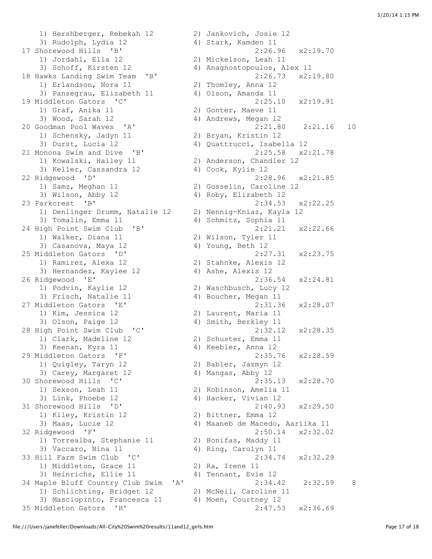1) Hershberger, Rebekah 12 2) Jankovich, Josie 12 3) Rudolph, Lydia 12 4) Stark, Kamden 11 17 Shorewood Hills 'B' 2:26.96 x2:19.70 1) Jordahl, Ella 12 2) Mickelson, Leah 11 3) Schoff, Kirsten 12 4) Anagnostopoulos, Alex 11 18 Hawks Landing Swim Team 'B' 2:26.73 x2:19.80 1) Erlandson, Nora 11 2) Thomley, Anna 12 3) Pansegrau, Elizabeth 11 4) Olson, Amanda 11 19 Middleton Gators 'C' 2:25.10 x2:19.91 1) Graf, Anika 11 2) Gonter, Maeve 11 3) Wood, Sarah 12 4) Andrews, Megan 12 20 Goodman Pool Waves 'A' 2:21.80 2:21.16 10 1) Schensky, Jadyn 11 2) Bryan, Kristin 12 1) Schensky, Jadyn 11 (2) Bryan, Kristin 12<br>3) Durst, Lucia 12 (4) Quattrucci, Isabella 12 21 Monona Swim and Dive 'B' 2:25.58 x2:21.78 1) Kowalski, Hailey 11 2) Anderson, Chandler 12 3) Keller, Cassandra 12 (4) Cook, Kylie 12 22 Ridgewood 'D' 2:28.96 x2:21.85 1) Samz, Meghan 11 2) Gosselin, Caroline 12 3) Wilson, Abby 12 4) Roby, Elizabeth 12 23 Parkcrest 'B' 2:34.53 x2:22.25 1) Denlinger Drumm, Natalie 12 2) Nennig-Kniaz, Kayla 12 3) Tomalin, Emma 11 4) Schmitz, Sophia 11 24 High Point Swim Club 'B' 2:21.21 x2:22.66 1) Walker, Diana 11 2) Wilson, Tyler 11 3) Casanova, Maya 12 4) Young, Beth 12 25 Middleton Gators 'D' 2:27.31 x2:23.75 1) Ramirez, Alexa 12 2) Stahnke, Alexis 12 3) Hernandez, Kaylee 12 4) Ashe, Alexis 12 26 Ridgewood 'E' 2:36.54 x2:24.81 1) Podvin, Kaylie 12 2) Waschbusch, Lucy 12 3) Frisch, Natalie 11 4) Boucher, Megan 11 27 Middleton Gators 'E' 2:31.36 x2:28.07 1) Kim, Jessica 12 2) Laurent, Maria 11 3) Olson, Paige 12 4) Smith, Berkley 11 28 High Point Swim Club 'C' 2:32.12 x2:28.35 1) Clark, Madeline 12 2) Schuster, Emma 11 3) Keenan, Kyra 11  $\qquad \qquad$  4) Keebler, Anna 12 29 Middleton Gators 'F' 2:35.76 x2:28.59 1) Quigley, Taryn 12 2) Babler, Jazmyn 12 3) Carey, Margaret 12 4) Mangas, Abby 12 30 Shorewood Hills 'C' 2:35.13 x2:28.70 1) Sexson, Leah 11 2) Robinson, Amelia 11 3) Link, Phoebe 12 4) Hacker, Vivian 12 31 Shorewood Hills 'D' 2:40.93 x2:29.50 1) Kiley, Kristin 12 2) Bittner, Emma 12 3) Maas, Lucie 12 4) Maaneb de Macedo, Aariika 11 32 Ridgewood 'F' 2:50.14 x2:32.02 1) Torrealba, Stephanie 11 2) Bonifas, Maddy 11 3) Vaccaro, Nina 11 4) Ring, Carolyn 11 33 Hill Farm Swim Club 'C' 2:34.74 x2:32.29 1) Middleton, Grace 11 2) Ra, Irene 11 3) Heinrichs, Ellie 11 (4) Tennant, Evie 12<br>
aple Bluff Country Club Swim 'A' (2:34.42 (2:32.59) 34 Maple Bluff Country Club Swim 'A' 2:34.42 2:32.59 8<br>1) Schlichting, Bridget 12 2) McNeil, Caroline 11 1) Schlichting, Bridget 12 3) Masciopinto, Francesca 11 4) Moen, Courtney 12 35 Middleton Gators 'H' 2:47.53 x2:36.69